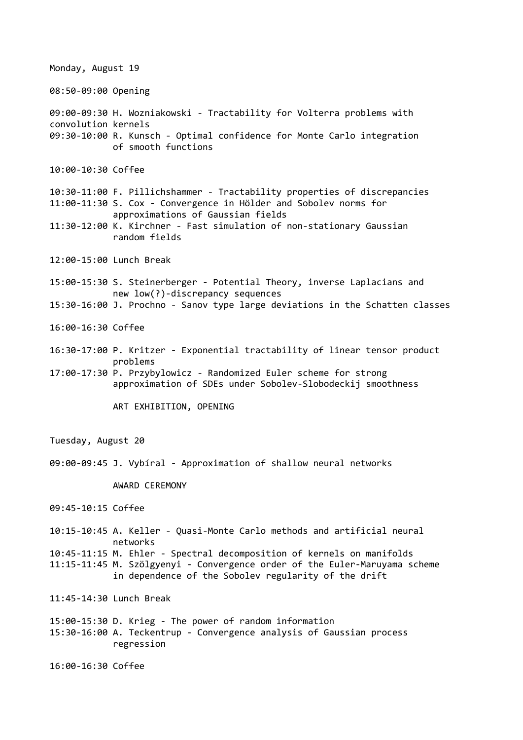Monday, August 19 08:50-09:00 Opening 09:00-09:30 H. Wozniakowski - Tractability for Volterra problems with convolution kernels 09:30-10:00 R. Kunsch - Optimal confidence for Monte Carlo integration of smooth functions 10:00-10:30 Coffee 10:30-11:00 F. Pillichshammer - Tractability properties of discrepancies 11:00-11:30 S. Cox - Convergence in Hölder and Sobolev norms for approximations of Gaussian fields 11:30-12:00 K. Kirchner - Fast simulation of non-stationary Gaussian random fields 12:00-15:00 Lunch Break 15:00-15:30 S. Steinerberger - Potential Theory, inverse Laplacians and new low(?)-discrepancy sequences 15:30-16:00 J. Prochno - Sanov type large deviations in the Schatten classes 16:00-16:30 Coffee 16:30-17:00 P. Kritzer - Exponential tractability of linear tensor product problems 17:00-17:30 P. Przybylowicz - Randomized Euler scheme for strong approximation of SDEs under Sobolev-Slobodeckij smoothness ART EXHIBITION, OPENING Tuesday, August 20 09:00-09:45 J. Vybíral - Approximation of shallow neural networks AWARD CEREMONY 09:45-10:15 Coffee 10:15-10:45 A. Keller - Quasi-Monte Carlo methods and artificial neural networks 10:45-11:15 M. Ehler - Spectral decomposition of kernels on manifolds 11:15-11:45 M. Szölgyenyi - Convergence order of the Euler-Maruyama scheme in dependence of the Sobolev regularity of the drift 11:45-14:30 Lunch Break 15:00-15:30 D. Krieg - The power of random information 15:30-16:00 A. Teckentrup - Convergence analysis of Gaussian process regression 16:00-16:30 Coffee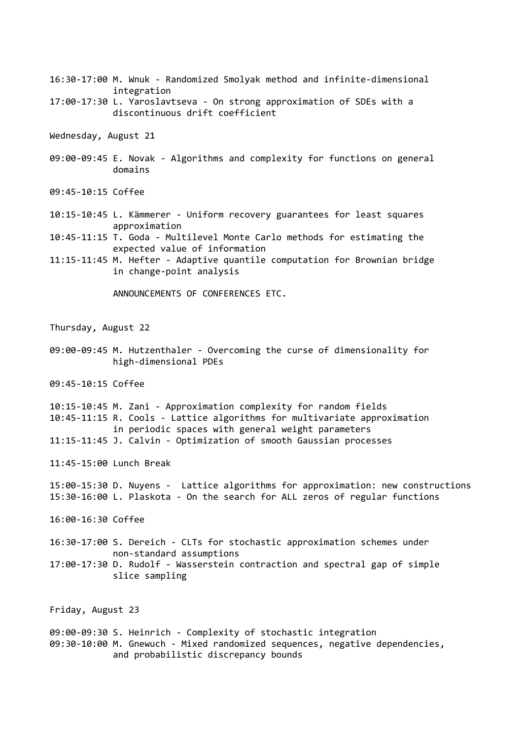- 16:30-17:00 M. Wnuk Randomized Smolyak method and infinite-dimensional integration
- 17:00-17:30 L. Yaroslavtseva On strong approximation of SDEs with a discontinuous drift coefficient

Wednesday, August 21

- 09:00-09:45 E. Novak Algorithms and complexity for functions on general domains
- 09:45-10:15 Coffee
- 10:15-10:45 L. Kämmerer Uniform recovery guarantees for least squares approximation
- 10:45-11:15 T. Goda Multilevel Monte Carlo methods for estimating the expected value of information
- 11:15-11:45 M. Hefter Adaptive quantile computation for Brownian bridge in change-point analysis

ANNOUNCEMENTS OF CONFERENCES ETC.

Thursday, August 22

09:00-09:45 M. Hutzenthaler - Overcoming the curse of dimensionality for high-dimensional PDEs

09:45-10:15 Coffee

10:15-10:45 M. Zani - Approximation complexity for random fields 10:45-11:15 R. Cools - Lattice algorithms for multivariate approximation in periodic spaces with general weight parameters 11:15-11:45 J. Calvin - Optimization of smooth Gaussian processes

11:45-15:00 Lunch Break

15:00-15:30 D. Nuyens - Lattice algorithms for approximation: new constructions 15:30-16:00 L. Plaskota - On the search for ALL zeros of regular functions

- 16:00-16:30 Coffee
- 16:30-17:00 S. Dereich CLTs for stochastic approximation schemes under non-standard assumptions
- 17:00-17:30 D. Rudolf Wasserstein contraction and spectral gap of simple slice sampling

Friday, August 23

09:00-09:30 S. Heinrich - Complexity of stochastic integration 09:30-10:00 M. Gnewuch - Mixed randomized sequences, negative dependencies, and probabilistic discrepancy bounds